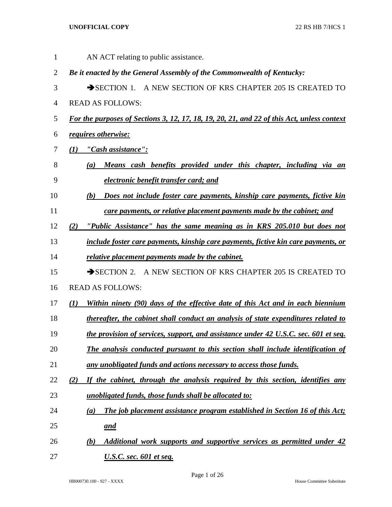AN ACT relating to public assistance. *Be it enacted by the General Assembly of the Commonwealth of Kentucky:* 3 SECTION 1. A NEW SECTION OF KRS CHAPTER 205 IS CREATED TO READ AS FOLLOWS: *For the purposes of Sections 3, 12, 17, 18, 19, 20, 21, and 22 of this Act, unless context requires otherwise: (1) "Cash assistance": (a) Means cash benefits provided under this chapter, including via an electronic benefit transfer card; and (b) Does not include foster care payments, kinship care payments, fictive kin care payments, or relative placement payments made by the cabinet; and (2) "Public Assistance" has the same meaning as in KRS 205.010 but does not include foster care payments, kinship care payments, fictive kin care payments, or relative placement payments made by the cabinet.* 15 SECTION 2. A NEW SECTION OF KRS CHAPTER 205 IS CREATED TO READ AS FOLLOWS: *(1) Within ninety (90) days of the effective date of this Act and in each biennium thereafter, the cabinet shall conduct an analysis of state expenditures related to the provision of services, support, and assistance under 42 U.S.C. sec. 601 et seq. The analysis conducted pursuant to this section shall include identification of any unobligated funds and actions necessary to access those funds. (2) If the cabinet, through the analysis required by this section, identifies any unobligated funds, those funds shall be allocated to: (a) The job placement assistance program established in Section 16 of this Act; and (b) Additional work supports and supportive services as permitted under 42 U.S.C. sec. 601 et seq.*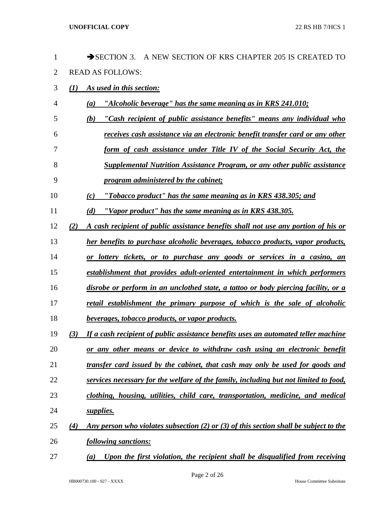| $\mathbf 1$    |     | $\rightarrow$ SECTION 3.<br>A NEW SECTION OF KRS CHAPTER 205 IS CREATED TO            |
|----------------|-----|---------------------------------------------------------------------------------------|
| $\overline{2}$ |     | <b>READ AS FOLLOWS:</b>                                                               |
| 3              | (1) | As used in this section:                                                              |
| 4              |     | "Alcoholic beverage" has the same meaning as in KRS 241.010;<br>(a)                   |
| 5              |     | "Cash recipient of public assistance benefits" means any individual who<br>(b)        |
| 6              |     | receives cash assistance via an electronic benefit transfer card or any other         |
| 7              |     | form of cash assistance under Title IV of the Social Security Act, the                |
| 8              |     | <b>Supplemental Nutrition Assistance Program, or any other public assistance</b>      |
| 9              |     | program administered by the cabinet;                                                  |
| 10             |     | "Tobacco product" has the same meaning as in KRS 438.305; and<br>(c)                  |
| 11             |     | "Vapor product" has the same meaning as in KRS 438.305.<br>(d)                        |
| 12             | (2) | A cash recipient of public assistance benefits shall not use any portion of his or    |
| 13             |     | her benefits to purchase alcoholic beverages, tobacco products, vapor products,       |
| 14             |     | or lottery tickets, or to purchase any goods or services in a casino, an              |
| 15             |     | establishment that provides adult-oriented entertainment in which performers          |
| 16             |     | disrobe or perform in an unclothed state, a tattoo or body piercing facility, or a    |
| 17             |     | retail establishment the primary purpose of which is the sale of alcoholic            |
| 18             |     | beverages, tobacco products, or vapor products.                                       |
| 19             | (3) | If a cash recipient of public assistance benefits uses an automated teller machine    |
| 20             |     | or any other means or device to withdraw cash using an electronic benefit             |
| 21             |     | transfer card issued by the cabinet, that cash may only be used for goods and         |
| 22             |     | services necessary for the welfare of the family, including but not limited to food,  |
| 23             |     | clothing, housing, utilities, child care, transportation, medicine, and medical       |
| 24             |     | supplies.                                                                             |
| 25             | (4) | Any person who violates subsection (2) or (3) of this section shall be subject to the |
| 26             |     | following sanctions:                                                                  |
| 27             |     | Upon the first violation, the recipient shall be disqualified from receiving<br>(a)   |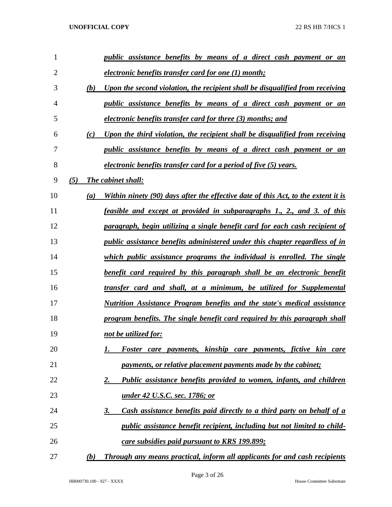| $\mathbf{1}$   | <i>public assistance benefits by means of a direct cash payment or an</i>                |
|----------------|------------------------------------------------------------------------------------------|
| $\overline{2}$ | electronic benefits transfer card for one (1) month;                                     |
| 3              | Upon the second violation, the recipient shall be disqualified from receiving<br>(b)     |
| 4              | <i>public assistance benefits by means of a direct cash payment or an</i>                |
| 5              | electronic benefits transfer card for three (3) months; and                              |
| 6              | Upon the third violation, the recipient shall be disqualified from receiving<br>(c)      |
| 7              | <i>public assistance benefits by means of a direct cash payment or an</i>                |
| 8              | <i>electronic benefits transfer card for a period of five (5) years.</i>                 |
| 9              | (5)<br>The cabinet shall:                                                                |
| 10             | Within ninety (90) days after the effective date of this Act, to the extent it is<br>(a) |
| 11             | <u>feasible and except at provided in subparagraphs 1, 2, and 3, of this</u>             |
| 12             | <u>paragraph, begin utilizing a single benefit card for each cash recipient of</u>       |
| 13             | <u>public assistance benefits administered under this chapter regardless of in</u>       |
| 14             | which public assistance programs the individual is enrolled. The single                  |
| 15             | <u>benefit card required by this paragraph shall be an electronic benefit</u>            |
| 16             | transfer card and shall, at a minimum, be utilized for Supplemental                      |
| 17             | Nutrition Assistance Program benefits and the state's medical assistance                 |
| 18             | program benefits. The single benefit card required by this paragraph shall               |
| 19             | not be utilized for:                                                                     |
| 20             | Foster care payments, kinship care payments, fictive kin care                            |
| 21             | payments, or relative placement payments made by the cabinet;                            |
| 22             | Public assistance benefits provided to women, infants, and children<br>2.                |
| 23             | <u>under 42 U.S.C. sec. 1786; or</u>                                                     |
| 24             | Cash assistance benefits paid directly to a third party on behalf of a<br>3.             |
| 25             | public assistance benefit recipient, including but not limited to child-                 |
| 26             | care subsidies paid pursuant to KRS 199.899;                                             |
| 27             | <b>Through any means practical, inform all applicants for and cash recipients</b><br>(b) |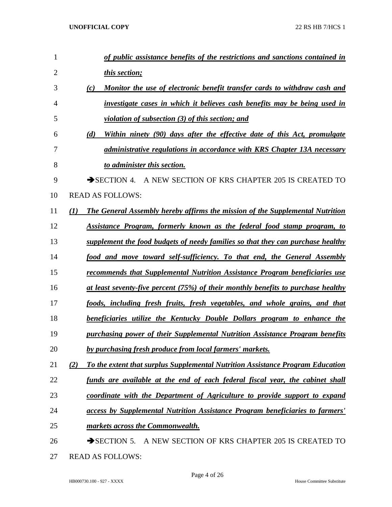| 1              |     | of public assistance benefits of the restrictions and sanctions contained in             |
|----------------|-----|------------------------------------------------------------------------------------------|
| $\overline{2}$ |     | this section;                                                                            |
| 3              |     | Monitor the use of electronic benefit transfer cards to withdraw cash and<br>(c)         |
| $\overline{4}$ |     | investigate cases in which it believes cash benefits may be being used in                |
| 5              |     | <u>violation of subsection (3) of this section; and</u>                                  |
| 6              |     | Within ninety (90) days after the effective date of this Act, promulgate<br>(d)          |
| 7              |     | administrative regulations in accordance with KRS Chapter 13A necessary                  |
| 8              |     | to administer this section.                                                              |
| 9              |     | $\rightarrow$ SECTION 4.<br>A NEW SECTION OF KRS CHAPTER 205 IS CREATED TO               |
| 10             |     | <b>READ AS FOLLOWS:</b>                                                                  |
| 11             | (I) | The General Assembly hereby affirms the mission of the Supplemental Nutrition            |
| 12             |     | Assistance Program, formerly known as the federal food stamp program, to                 |
| 13             |     | supplement the food budgets of needy families so that they can purchase healthy          |
| 14             |     | food and move toward self-sufficiency. To that end, the General Assembly                 |
| 15             |     | recommends that Supplemental Nutrition Assistance Program beneficiaries use              |
| 16             |     | <u>at least seventy-five percent (75%) of their monthly benefits to purchase healthy</u> |
| 17             |     | foods, including fresh fruits, fresh vegetables, and whole grains, and that              |
| 18             |     | beneficiaries utilize the Kentucky Double Dollars program to enhance the                 |
| 19             |     | purchasing power of their Supplemental Nutrition Assistance Program benefits             |
| 20             |     | by purchasing fresh produce from local farmers' markets.                                 |
| 21             | (2) | To the extent that surplus Supplemental Nutrition Assistance Program Education           |
| 22             |     | funds are available at the end of each federal fiscal year, the cabinet shall            |
| 23             |     | coordinate with the Department of Agriculture to provide support to expand               |
| 24             |     | access by Supplemental Nutrition Assistance Program beneficiaries to farmers'            |
| 25             |     | markets across the Commonwealth.                                                         |
| 26             |     | A NEW SECTION OF KRS CHAPTER 205 IS CREATED TO<br>$\rightarrow$ SECTION 5.               |
| 27             |     | <b>READ AS FOLLOWS:</b>                                                                  |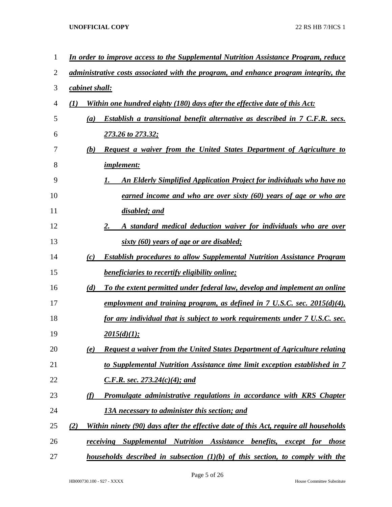| $\mathbf{1}$ |                  | In order to improve access to the Supplemental Nutrition Assistance Program, reduce               |
|--------------|------------------|---------------------------------------------------------------------------------------------------|
| 2            |                  | administrative costs associated with the program, and enhance program integrity, the              |
| 3            | cabinet shall:   |                                                                                                   |
| 4            | $\mathcal{L}(I)$ | Within one hundred eighty (180) days after the effective date of this Act:                        |
| 5            | (a)              | Establish a transitional benefit alternative as described in 7 C.F.R. secs.                       |
| 6            |                  | 273.26 to 273.32;                                                                                 |
| 7            | (b)              | Request a waiver from the United States Department of Agriculture to                              |
| 8            |                  | <i>implement:</i>                                                                                 |
| 9            |                  | An Elderly Simplified Application Project for individuals who have no                             |
| 10           |                  | earned income and who are over sixty (60) years of age or who are                                 |
| 11           |                  | disabled; and                                                                                     |
| 12           |                  | A standard medical deduction waiver for individuals who are over<br>2.                            |
| 13           |                  | sixty (60) years of age or are disabled;                                                          |
| 14           | (c)              | <b>Establish procedures to allow Supplemental Nutrition Assistance Program</b>                    |
| 15           |                  | <b>beneficiaries to recertify eligibility online;</b>                                             |
| 16           | (d)              | To the extent permitted under federal law, develop and implement an online                        |
| 17           |                  | employment and training program, as defined in $7 \text{ U.S.C.}$ sec. $2015(d)(4)$ ,             |
| 18           |                  | for any individual that is subject to work requirements under 7 U.S.C. sec.                       |
| 19           |                  | 2015(d)(1);                                                                                       |
| 20           | (e)              | <b>Request a waiver from the United States Department of Agriculture relating</b>                 |
| 21           |                  | to Supplemental Nutrition Assistance time limit exception established in 7                        |
| 22           |                  | C.F.R. sec. 273.24(c)(4); and                                                                     |
| 23           | <u>(f)</u>       | Promulgate administrative regulations in accordance with KRS Chapter                              |
| 24           |                  | <u>13A necessary to administer this section; and</u>                                              |
| 25           | (2)              | Within ninety (90) days after the effective date of this Act, require all households              |
| 26           |                  | <b>receiving Supplemental Nutrition Assistance benefits,</b><br><i>except</i> for those           |
| 27           |                  | <u>households described in subsection <math>(1)(b)</math> of this section, to comply with the</u> |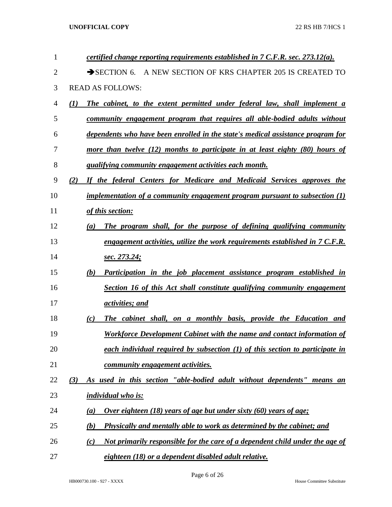| $\mathbf{1}$ | certified change reporting requirements established in $7$ C.F.R. sec. 273.12(a).    |
|--------------|--------------------------------------------------------------------------------------|
| 2            | A NEW SECTION OF KRS CHAPTER 205 IS CREATED TO<br>$\rightarrow$ SECTION 6.           |
| 3            | <b>READ AS FOLLOWS:</b>                                                              |
| 4            | (I)<br>The cabinet, to the extent permitted under federal law, shall implement a     |
| 5            | community engagement program that requires all able-bodied adults without            |
| 6            | dependents who have been enrolled in the state's medical assistance program for      |
| 7            | more than twelve $(12)$ months to participate in at least eighty $(80)$ hours of     |
| 8            | qualifying community engagement activities each month.                               |
| 9            | If the federal Centers for Medicare and Medicaid Services approves the<br>(2)        |
| 10           | implementation of a community engagement program pursuant to subsection $(1)$        |
| 11           | of this section:                                                                     |
| 12           | The program shall, for the purpose of defining qualifying community<br>(a)           |
| 13           | engagement activities, utilize the work requirements established in 7 C.F.R.         |
| 14           | sec. 273.24;                                                                         |
| 15           | (b)<br>Participation in the job placement assistance program established in          |
| 16           | Section 16 of this Act shall constitute qualifying community engagement              |
| 17           | activities; and                                                                      |
| 18           | The cabinet shall, on a monthly basis, provide the Education and<br>(c)              |
| 19           | Workforce Development Cabinet with the name and contact information of               |
| 20           | each individual required by subsection $(1)$ of this section to participate in       |
| 21           | community engagement activities.                                                     |
| 22           | As used in this section "able-bodied adult without dependents" means an<br>(3)       |
| 23           | <i>individual who is:</i>                                                            |
| 24           | <u>Over eighteen (18) years of age but under sixty (60) years of age:</u><br>(a)     |
| 25           | <b>Physically and mentally able to work as determined by the cabinet; and</b><br>(b) |
| 26           | Not primarily responsible for the care of a dependent child under the age of<br>(c)  |
| 27           | eighteen (18) or a dependent disabled adult relative.                                |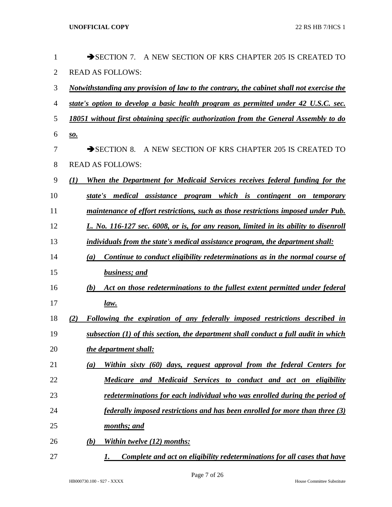| 1              | A NEW SECTION OF KRS CHAPTER 205 IS CREATED TO<br>$\rightarrow$ SECTION 7.                      |
|----------------|-------------------------------------------------------------------------------------------------|
| $\overline{2}$ | <b>READ AS FOLLOWS:</b>                                                                         |
| 3              | <u>Notwithstanding any provision of law to the contrary, the cabinet shall not exercise the</u> |
| $\overline{4}$ | state's option to develop a basic health program as permitted under 42 U.S.C. sec.              |
| 5              | 18051 without first obtaining specific authorization from the General Assembly to do            |
| 6              | $\underline{\mathbf{S}}\underline{\mathbf{O}}$ .                                                |
| 7              | A NEW SECTION OF KRS CHAPTER 205 IS CREATED TO<br>$\rightarrow$ SECTION 8.                      |
| 8              | <b>READ AS FOLLOWS:</b>                                                                         |
| 9              | When the Department for Medicaid Services receives federal funding for the<br>$\mathcal{L}(I)$  |
| 10             | state's medical assistance program which is contingent on temporary                             |
| 11             | maintenance of effort restrictions, such as those restrictions imposed under Pub.               |
| 12             | L. No. 116-127 sec. 6008, or is, for any reason, limited in its ability to disenroll            |
| 13             | individuals from the state's medical assistance program, the department shall:                  |
| 14             | Continue to conduct eligibility redeterminations as in the normal course of<br>$\left(a\right)$ |
| 15             | business; and                                                                                   |
| 16             | Act on those redeterminations to the fullest extent permitted under federal<br>(b)              |
| 17             | law.                                                                                            |
| 18             | Following the expiration of any federally imposed restrictions described in<br>(2)              |
| 19             | subsection (1) of this section, the department shall conduct a full audit in which              |
| 20             | the department shall:                                                                           |
| 21             | Within sixty (60) days, request approval from the federal Centers for<br>(a)                    |
| 22             | Medicare and Medicaid Services to conduct and act on eligibility                                |
| 23             | redeterminations for each individual who was enrolled during the period of                      |
| 24             | federally imposed restrictions and has been enrolled for more than three (3)                    |
| 25             | months; and                                                                                     |
| 26             | Within twelve (12) months:<br>(b)                                                               |
| 27             | Complete and act on eligibility redeterminations for all cases that have<br>1.                  |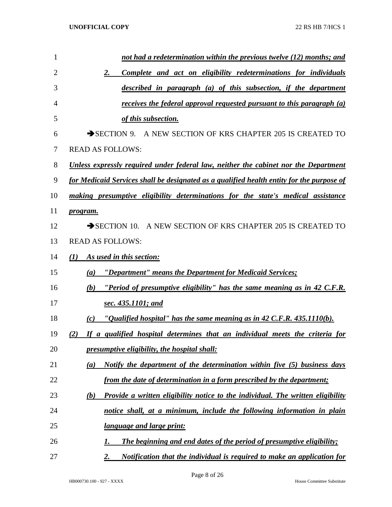| $\mathbf{1}$   | not had a redetermination within the previous twelve (12) months; and                      |
|----------------|--------------------------------------------------------------------------------------------|
| $\overline{2}$ | 2.<br>Complete and act on eligibility redeterminations for individuals                     |
| 3              | described in paragraph (a) of this subsection, if the department                           |
| 4              | receives the federal approval requested pursuant to this paragraph (a)                     |
| 5              | of this subsection.                                                                        |
| 6              | SECTION 9. A NEW SECTION OF KRS CHAPTER 205 IS CREATED TO                                  |
| 7              | <b>READ AS FOLLOWS:</b>                                                                    |
| 8              | <u>Unless expressly required under federal law, neither the cabinet nor the Department</u> |
| 9              | for Medicaid Services shall be designated as a qualified health entity for the purpose of  |
| 10             | making presumptive eligibility determinations for the state's medical assistance           |
| 11             | program.                                                                                   |
| 12             | SECTION 10. A NEW SECTION OF KRS CHAPTER 205 IS CREATED TO                                 |
| 13             | <b>READ AS FOLLOWS:</b>                                                                    |
| 14             | As used in this section:<br>(I)                                                            |
| 15             | "Department" means the Department for Medicaid Services;<br>(a)                            |
| 16             | "Period of presumptive eligibility" has the same meaning as in 42 C.F.R.<br>(b)            |
| 17             | sec. 435.1101; and                                                                         |
| 18             | "Qualified hospital" has the same meaning as in 42 C.F.R. 435.1110(b).<br>(c)              |
| 19             | (2) If a qualified hospital determines that an individual meets the criteria for           |
| 20             | presumptive eligibility, the hospital shall:                                               |
| 21             | Notify the department of the determination within five (5) business days<br>(a)            |
| 22             | from the date of determination in a form prescribed by the department;                     |
| 23             | Provide a written eligibility notice to the individual. The written eligibility<br>(b)     |
| 24             | notice shall, at a minimum, include the following information in plain                     |
| 25             | <i>language and large print:</i>                                                           |
| 26             | The beginning and end dates of the period of presumptive eligibility;<br>I.                |
| 27             | 2.<br>Notification that the individual is required to make an application for              |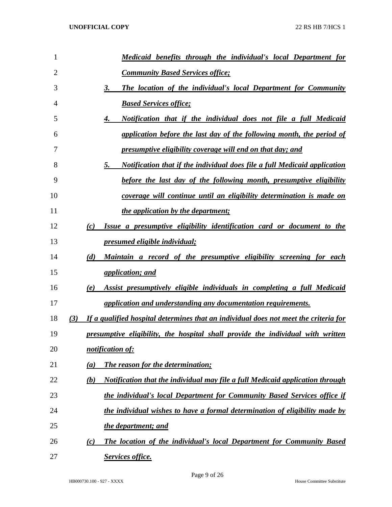| 1              | Medicaid benefits through the individual's local Department for                             |  |
|----------------|---------------------------------------------------------------------------------------------|--|
| $\overline{2}$ | <b>Community Based Services office;</b>                                                     |  |
| 3              | The location of the individual's local Department for Community<br>3.                       |  |
| 4              | <b>Based Services office;</b>                                                               |  |
| 5              | Notification that if the individual does not file a full Medicaid<br>4.                     |  |
| 6              | application before the last day of the following month, the period of                       |  |
| 7              | <u>presumptive eligibility coverage will end on that day; and</u>                           |  |
| 8              | Notification that if the individual does file a full Medicaid application<br>5.             |  |
| 9              | before the last day of the following month, presumptive eligibility                         |  |
| 10             | coverage will continue until an eligibility determination is made on                        |  |
| 11             | <i>the application by the department;</i>                                                   |  |
| 12             | Issue a presumptive eligibility identification card or document to the<br>(c)               |  |
| 13             | presumed eligible individual;                                                               |  |
| 14             | Maintain a record of the presumptive eligibility screening for each<br>(d)                  |  |
| 15             | <i>application; and</i>                                                                     |  |
| 16             | Assist presumptively eligible individuals in completing a full Medicaid<br>(e)              |  |
| 17             | application and understanding any documentation requirements.                               |  |
| 18             | If a qualified hospital determines that an individual does not meet the criteria for<br>(3) |  |
| 19             | presumptive eligibility, the hospital shall provide the individual with written             |  |
| 20             | notification of:                                                                            |  |
| 21             | <b>The reason for the determination;</b><br>(a)                                             |  |
| 22             | Notification that the individual may file a full Medicaid application through<br>(b)        |  |
| 23             | the individual's local Department for Community Based Services office if                    |  |
| 24             | the individual wishes to have a formal determination of eligibility made by                 |  |
| 25             | the department; and                                                                         |  |
| 26             | The location of the individual's local Department for Community Based<br>$\left( c\right)$  |  |
| 27             | Services office.                                                                            |  |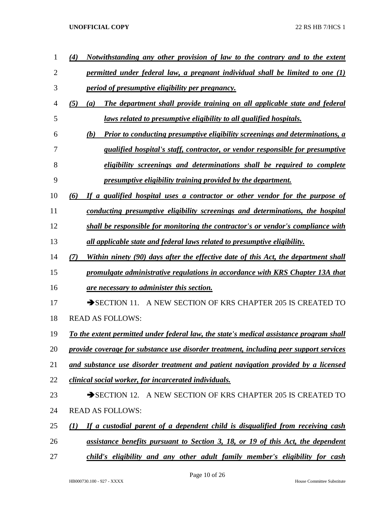| 1              | Notwithstanding any other provision of law to the contrary and to the extent<br>(4)       |
|----------------|-------------------------------------------------------------------------------------------|
| $\overline{2}$ | permitted under federal law, a pregnant individual shall be limited to one $(1)$          |
| 3              | <i>period of presumptive eligibility per pregnancy.</i>                                   |
| $\overline{4}$ | (5)<br>The department shall provide training on all applicable state and federal<br>(a)   |
| 5              | laws related to presumptive eligibility to all qualified hospitals.                       |
| 6              | Prior to conducting presumptive eligibility screenings and determinations, a<br>(b)       |
| 7              | qualified hospital's staff, contractor, or vendor responsible for presumptive             |
| 8              | eligibility screenings and determinations shall be required to complete                   |
| 9              | presumptive eligibility training provided by the department.                              |
| 10             | (6)<br>If a qualified hospital uses a contractor or other vendor for the purpose of       |
| 11             | conducting presumptive eligibility screenings and determinations, the hospital            |
| 12             | shall be responsible for monitoring the contractor's or vendor's compliance with          |
| 13             | all applicable state and federal laws related to presumptive eligibility.                 |
| 14             | Within ninety (90) days after the effective date of this Act, the department shall<br>(7) |
| 15             | promulgate administrative regulations in accordance with KRS Chapter 13A that             |
| 16             | <u>are necessary to administer this section.</u>                                          |
| 17             | SECTION 11. A NEW SECTION OF KRS CHAPTER 205 IS CREATED TO                                |
| 18             | <b>READ AS FOLLOWS:</b>                                                                   |
| 19             | To the extent permitted under federal law, the state's medical assistance program shall   |
| 20             | provide coverage for substance use disorder treatment, including peer support services    |
| 21             | and substance use disorder treatment and patient navigation provided by a licensed        |
| 22             | clinical social worker, for incarcerated individuals.                                     |
| 23             | SECTION 12. A NEW SECTION OF KRS CHAPTER 205 IS CREATED TO                                |
| 24             | <b>READ AS FOLLOWS:</b>                                                                   |
| 25             | If a custodial parent of a dependent child is disqualified from receiving cash<br>(I)     |
| 26             | assistance benefits pursuant to Section 3, 18, or 19 of this Act, the dependent           |
| 27             | child's eligibility and any other adult family member's eligibility for cash              |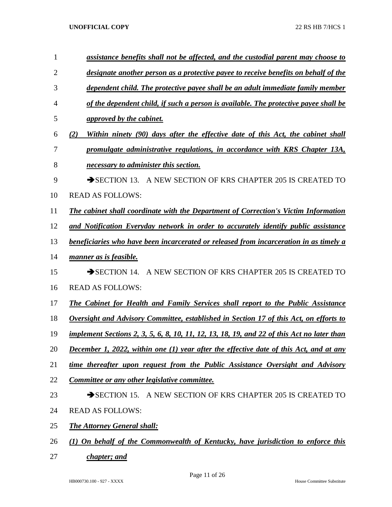| $\mathbf{1}$   | assistance benefits shall not be affected, and the custodial parent may choose to             |
|----------------|-----------------------------------------------------------------------------------------------|
| $\overline{2}$ | designate another person as a protective payee to receive benefits on behalf of the           |
| 3              | dependent child. The protective payee shall be an adult immediate family member               |
| 4              | of the dependent child, if such a person is available. The protective payee shall be          |
| 5              | <i>approved by the cabinet.</i>                                                               |
| 6              | Within ninety (90) days after the effective date of this Act, the cabinet shall<br>(2)        |
| 7              | promulgate administrative regulations, in accordance with KRS Chapter 13A,                    |
| 8              | necessary to administer this section.                                                         |
| 9              | SECTION 13. A NEW SECTION OF KRS CHAPTER 205 IS CREATED TO                                    |
| 10             | <b>READ AS FOLLOWS:</b>                                                                       |
| 11             | <b>The cabinet shall coordinate with the Department of Correction's Victim Information</b>    |
| 12             | and Notification Everyday network in order to accurately identify public assistance           |
| 13             | beneficiaries who have been incarcerated or released from incarceration in as timely a        |
| 14             | manner as is feasible.                                                                        |
| 15             | SECTION 14. A NEW SECTION OF KRS CHAPTER 205 IS CREATED TO                                    |
| 16             | <b>READ AS FOLLOWS:</b>                                                                       |
| 17             | The Cabinet for Health and Family Services shall report to the Public Assistance              |
| 18             | <b>Oversight and Advisory Committee, established in Section 17 of this Act, on efforts to</b> |
| 19             | implement Sections 2, 3, 5, 6, 8, 10, 11, 12, 13, 18, 19, and 22 of this Act no later than    |
| 20             | December 1, 2022, within one (1) year after the effective date of this Act, and at any        |
| 21             | time thereafter upon request from the Public Assistance Oversight and Advisory                |
| 22             | Committee or any other legislative committee.                                                 |
| 23             | SECTION 15. A NEW SECTION OF KRS CHAPTER 205 IS CREATED TO                                    |
| 24             | <b>READ AS FOLLOWS:</b>                                                                       |
| 25             | <b>The Attorney General shall:</b>                                                            |
| 26             | (1) On behalf of the Commonwealth of Kentucky, have jurisdiction to enforce this              |

*chapter; and*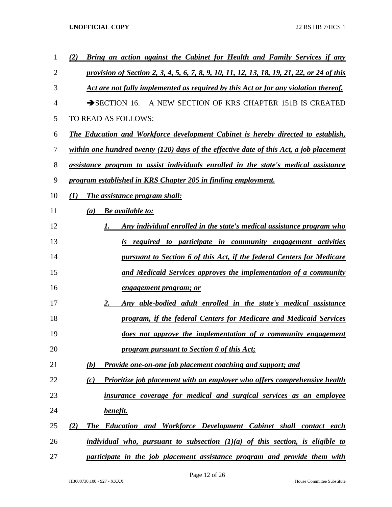| 1  | Bring an action against the Cabinet for Health and Family Services if any<br>(2)                  |
|----|---------------------------------------------------------------------------------------------------|
| 2  | <u>provision of Section 2, 3, 4, 5, 6, 7, 8, 9, 10, 11, 12, 13, 18, 19, 21, 22, or 24 of this</u> |
| 3  | Act are not fully implemented as required by this Act or for any violation thereof.               |
| 4  | $\rightarrow$ SECTION 16.<br>A NEW SECTION OF KRS CHAPTER 151B IS CREATED                         |
| 5  | TO READ AS FOLLOWS:                                                                               |
| 6  | <b>The Education and Workforce development Cabinet is hereby directed to establish,</b>           |
| 7  | within one hundred twenty (120) days of the effective date of this Act, a job placement           |
| 8  | assistance program to assist individuals enrolled in the state's medical assistance               |
| 9  | program established in KRS Chapter 205 in finding employment.                                     |
| 10 | The assistance program shall:<br>(I)                                                              |
| 11 | <b>Be</b> available to:<br>(a)                                                                    |
| 12 | Any individual enrolled in the state's medical assistance program who                             |
| 13 | is required to participate in community engagement activities                                     |
| 14 | pursuant to Section 6 of this Act, if the federal Centers for Medicare                            |
| 15 | and Medicaid Services approves the implementation of a community                                  |
| 16 | <u>engagement program; or</u>                                                                     |
| 17 | Any able-bodied adult enrolled in the state's medical assistance<br>2.                            |
| 18 | program, if the federal Centers for Medicare and Medicaid Services                                |
| 19 | does not approve the implementation of a community engagement                                     |
| 20 | program pursuant to Section 6 of this Act;                                                        |
| 21 | <b>Provide one-on-one job placement coaching and support; and</b><br><b>(b)</b>                   |
| 22 | Prioritize job placement with an employer who offers comprehensive health<br>(c)                  |
| 23 | insurance coverage for medical and surgical services as an employee                               |
| 24 | benefit.                                                                                          |
| 25 | The Education and Workforce Development Cabinet shall contact each<br>(2)                         |
| 26 | individual who, pursuant to subsection $(1)(a)$ of this section, is eligible to                   |
| 27 | participate in the job placement assistance program and provide them with                         |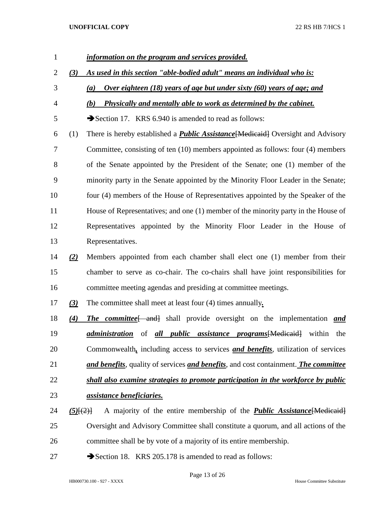*information on the program and services provided. (3) As used in this section "able-bodied adult" means an individual who is: (a) Over eighteen (18) years of age but under sixty (60) years of age; and (b) Physically and mentally able to work as determined by the cabinet.* 5 Section 17. KRS 6.940 is amended to read as follows: (1) There is hereby established a *Public Assistance*[Medicaid] Oversight and Advisory Committee, consisting of ten (10) members appointed as follows: four (4) members of the Senate appointed by the President of the Senate; one (1) member of the minority party in the Senate appointed by the Minority Floor Leader in the Senate; four (4) members of the House of Representatives appointed by the Speaker of the House of Representatives; and one (1) member of the minority party in the House of Representatives appointed by the Minority Floor Leader in the House of Representatives. *(2)* Members appointed from each chamber shall elect one (1) member from their chamber to serve as co-chair. The co-chairs shall have joint responsibilities for committee meeting agendas and presiding at committee meetings. *(3)* The committee shall meet at least four (4) times annually*. (4) The committee*[ and] shall provide oversight on the implementation *and administration* of *all public assistance programs*[Medicaid] within the Commonwealth*,* including access to services *and benefits*, utilization of services *and benefits*, quality of services *and benefits*, and cost containment. *The committee shall also examine strategies to promote participation in the workforce by public assistance beneficiaries. (5)*[(2)] A majority of the entire membership of the *Public Assistance*[Medicaid] Oversight and Advisory Committee shall constitute a quorum, and all actions of the committee shall be by vote of a majority of its entire membership. 27 Section 18. KRS 205.178 is amended to read as follows: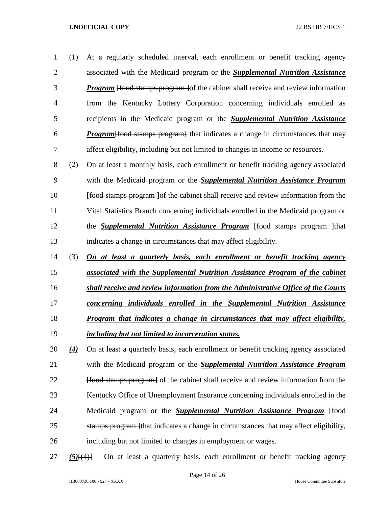(1) At a regularly scheduled interval, each enrollment or benefit tracking agency associated with the Medicaid program or the *Supplemental Nutrition Assistance Program* [food stamps program ]of the cabinet shall receive and review information from the Kentucky Lottery Corporation concerning individuals enrolled as recipients in the Medicaid program or the *Supplemental Nutrition Assistance Program*[food stamps program] that indicates a change in circumstances that may affect eligibility, including but not limited to changes in income or resources.

 (2) On at least a monthly basis, each enrollment or benefit tracking agency associated with the Medicaid program or the *Supplemental Nutrition Assistance Program* **Ifood stamps program** lof the cabinet shall receive and review information from the Vital Statistics Branch concerning individuals enrolled in the Medicaid program or 12 the *Supplemental Nutrition Assistance Program* [food stamps program ]that indicates a change in circumstances that may affect eligibility.

- (3) *On at least a quarterly basis, each enrollment or benefit tracking agency associated with the Supplemental Nutrition Assistance Program of the cabinet*
- *shall receive and review information from the Administrative Office of the Courts*
- *concerning individuals enrolled in the Supplemental Nutrition Assistance*
- *Program that indicates a change in circumstances that may affect eligibility,*
- *including but not limited to incarceration status.*

 *(4)* On at least a quarterly basis, each enrollment or benefit tracking agency associated with the Medicaid program or the *Supplemental Nutrition Assistance Program* **[food stamps program**] of the cabinet shall receive and review information from the Kentucky Office of Unemployment Insurance concerning individuals enrolled in the 24 Medicaid program or the *Supplemental Nutrition Assistance Program* [food] 25 stamps program that indicates a change in circumstances that may affect eligibility, including but not limited to changes in employment or wages.

*(5)*[(4)] On at least a quarterly basis, each enrollment or benefit tracking agency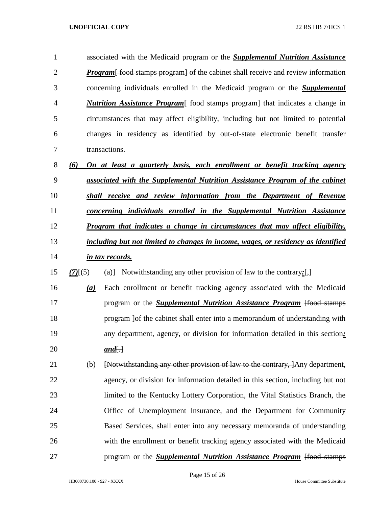associated with the Medicaid program or the *Supplemental Nutrition Assistance Program*—food stamps program of the cabinet shall receive and review information concerning individuals enrolled in the Medicaid program or the *Supplemental Nutrition Assistance Program*[ food stamps program] that indicates a change in circumstances that may affect eligibility, including but not limited to potential changes in residency as identified by out-of-state electronic benefit transfer transactions. *(6) On at least a quarterly basis, each enrollment or benefit tracking agency* 

- *associated with the Supplemental Nutrition Assistance Program of the cabinet shall receive and review information from the Department of Revenue*
- 
- *concerning individuals enrolled in the Supplemental Nutrition Assistance*
- *Program that indicates a change in circumstances that may affect eligibility,*
- *including but not limited to changes in income, wages, or residency as identified in tax records.*
- 15 (7) $\frac{f(5)}{f(5)}$  (a)} Notwithstanding any other provision of law to the contrary:
- *(a)* Each enrollment or benefit tracking agency associated with the Medicaid **program or the** *Supplemental Nutrition Assistance Program* [food stamps] **program** lof the cabinet shall enter into a memorandum of understanding with any department, agency, or division for information detailed in this section*;*  20 *and*<del>[.]</del>
- (b) [Notwithstanding any other provision of law to the contrary, ]Any department, agency, or division for information detailed in this section, including but not limited to the Kentucky Lottery Corporation, the Vital Statistics Branch, the Office of Unemployment Insurance, and the Department for Community Based Services, shall enter into any necessary memoranda of understanding with the enrollment or benefit tracking agency associated with the Medicaid **program or the** *Supplemental Nutrition Assistance Program* [food stamps]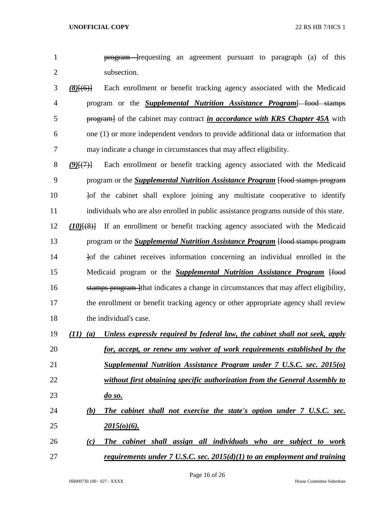- **program** lequesting an agreement pursuant to paragraph (a) of this subsection.
- *(8)*[(6)] Each enrollment or benefit tracking agency associated with the Medicaid program or the *Supplemental Nutrition Assistance Program*[ food stamps program] of the cabinet may contract *in accordance with KRS Chapter 45A* with one (1) or more independent vendors to provide additional data or information that may indicate a change in circumstances that may affect eligibility.
- *(9)*[(7)] Each enrollment or benefit tracking agency associated with the Medicaid program or the *Supplemental Nutrition Assistance Program* [food stamps program 10  $\frac{1}{2}$  of the cabinet shall explore joining any multistate cooperative to identify individuals who are also enrolled in public assistance programs outside of this state. *(10)*[(8)] If an enrollment or benefit tracking agency associated with the Medicaid program or the *Supplemental Nutrition Assistance Program* [food stamps program **Iomes information** concerning an individual enrolled in the 15 Medicaid program or the *Supplemental Nutrition Assistance Program* [food 16 stamps program that indicates a change in circumstances that may affect eligibility, the enrollment or benefit tracking agency or other appropriate agency shall review the individual's case.
- *(11) (a) Unless expressly required by federal law, the cabinet shall not seek, apply for, accept, or renew any waiver of work requirements established by the Supplemental Nutrition Assistance Program under 7 U.S.C. sec. 2015(o) without first obtaining specific authorization from the General Assembly to do so. (b) The cabinet shall not exercise the state's option under 7 U.S.C. sec. 2015(o)(6).*
- *(c) The cabinet shall assign all individuals who are subject to work requirements under 7 U.S.C. sec. 2015(d)(1) to an employment and training*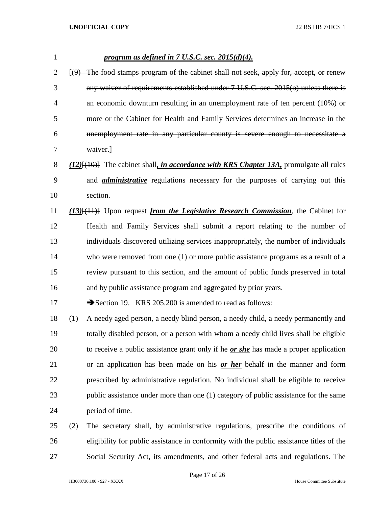| $\mathbf{1}$ | <u>program as defined in 7 U.S.C. sec. 2015(d)(4).</u>                                                |
|--------------|-------------------------------------------------------------------------------------------------------|
| 2            | (9) The food stamps program of the cabinet shall not seek, apply for, accept, or renew                |
| 3            | any waiver of requirements established under 7 U.S.C. sec. 2015(o) unless there is                    |
| 4            | an economic downturn resulting in an unemployment rate of ten percent (10%) or                        |
| 5            | more or the Cabinet for Health and Family Services determines an increase in the                      |
| 6            | unemployment rate in any particular county is severe enough to necessitate a                          |
| 7            | waiver.                                                                                               |
| 8            | $(12)$ [ $(10)$ ] The cabinet shall, <i>in accordance with KRS Chapter 13A</i> , promulgate all rules |
| 9            | and <i>administrative</i> regulations necessary for the purposes of carrying out this                 |
| 10           | section.                                                                                              |
| 11           | $(13)$ [ $(11)$ ] Upon request <i>from the Legislative Research Commission</i> , the Cabinet for      |
| 12           | Health and Family Services shall submit a report relating to the number of                            |
| 13           | individuals discovered utilizing services inappropriately, the number of individuals                  |
| 14           | who were removed from one $(1)$ or more public assistance programs as a result of a                   |
| 15           | review pursuant to this section, and the amount of public funds preserved in total                    |
| 16           | and by public assistance program and aggregated by prior years.                                       |
| 17           | Section 19. KRS 205.200 is amended to read as follows:                                                |
| 18           | (1)<br>A needy aged person, a needy blind person, a needy child, a needy permanently and              |
| 19           | totally disabled person, or a person with whom a needy child lives shall be eligible                  |
| 20           | to receive a public assistance grant only if he <i>or she</i> has made a proper application           |
| 21           | or an application has been made on his or her behalf in the manner and form                           |
| 22           | prescribed by administrative regulation. No individual shall be eligible to receive                   |
| 23           | public assistance under more than one (1) category of public assistance for the same                  |
| 24           | period of time.                                                                                       |
| 25           | The secretary shall, by administrative regulations, prescribe the conditions of<br>(2)                |
|              |                                                                                                       |

 eligibility for public assistance in conformity with the public assistance titles of the Social Security Act, its amendments, and other federal acts and regulations. The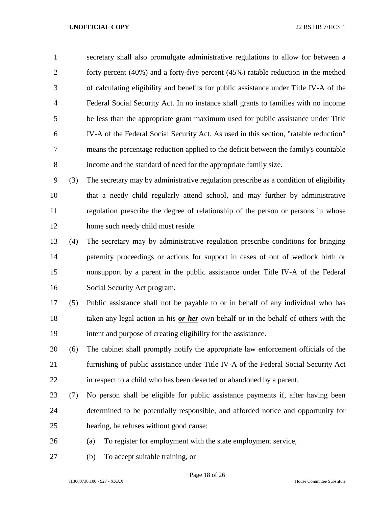secretary shall also promulgate administrative regulations to allow for between a forty percent (40%) and a forty-five percent (45%) ratable reduction in the method of calculating eligibility and benefits for public assistance under Title IV-A of the Federal Social Security Act. In no instance shall grants to families with no income be less than the appropriate grant maximum used for public assistance under Title IV-A of the Federal Social Security Act. As used in this section, "ratable reduction" means the percentage reduction applied to the deficit between the family's countable income and the standard of need for the appropriate family size.

 (3) The secretary may by administrative regulation prescribe as a condition of eligibility that a needy child regularly attend school, and may further by administrative regulation prescribe the degree of relationship of the person or persons in whose home such needy child must reside.

- (4) The secretary may by administrative regulation prescribe conditions for bringing paternity proceedings or actions for support in cases of out of wedlock birth or nonsupport by a parent in the public assistance under Title IV-A of the Federal Social Security Act program.
- (5) Public assistance shall not be payable to or in behalf of any individual who has taken any legal action in his *or her* own behalf or in the behalf of others with the intent and purpose of creating eligibility for the assistance.
- (6) The cabinet shall promptly notify the appropriate law enforcement officials of the furnishing of public assistance under Title IV-A of the Federal Social Security Act in respect to a child who has been deserted or abandoned by a parent.
- (7) No person shall be eligible for public assistance payments if, after having been determined to be potentially responsible, and afforded notice and opportunity for hearing, he refuses without good cause:
- (a) To register for employment with the state employment service,
- (b) To accept suitable training, or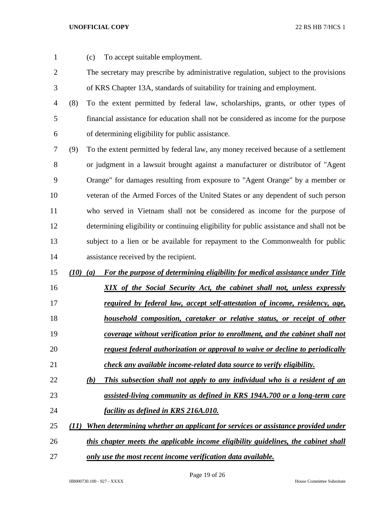- 
- (c) To accept suitable employment.
- The secretary may prescribe by administrative regulation, subject to the provisions of KRS Chapter 13A, standards of suitability for training and employment.
- (8) To the extent permitted by federal law, scholarships, grants, or other types of financial assistance for education shall not be considered as income for the purpose of determining eligibility for public assistance.
- (9) To the extent permitted by federal law, any money received because of a settlement or judgment in a lawsuit brought against a manufacturer or distributor of "Agent Orange" for damages resulting from exposure to "Agent Orange" by a member or veteran of the Armed Forces of the United States or any dependent of such person who served in Vietnam shall not be considered as income for the purpose of determining eligibility or continuing eligibility for public assistance and shall not be subject to a lien or be available for repayment to the Commonwealth for public assistance received by the recipient.
- *(10) (a) For the purpose of determining eligibility for medical assistance under Title*
- 

- *XIX of the Social Security Act, the cabinet shall not, unless expressly required by federal law, accept self-attestation of income, residency, age,*
- *household composition, caretaker or relative status, or receipt of other*
- *coverage without verification prior to enrollment, and the cabinet shall not request federal authorization or approval to waive or decline to periodically*
- *check any available income-related data source to verify eligibility.*
- *(b) This subsection shall not apply to any individual who is a resident of an assisted-living community as defined in KRS 194A.700 or a long-term care facility as defined in KRS 216A.010.*
- *(11) When determining whether an applicant for services or assistance provided under*
- *this chapter meets the applicable income eligibility guidelines, the cabinet shall*
- *only use the most recent income verification data available.*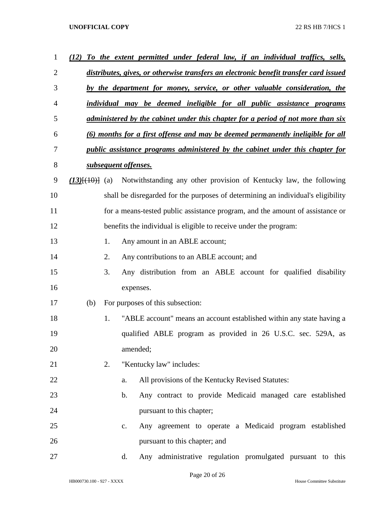| 1              | (12) |    | To the extent permitted under federal law, if an individual traffics, sells,                |
|----------------|------|----|---------------------------------------------------------------------------------------------|
| $\overline{2}$ |      |    | distributes, gives, or otherwise transfers an electronic benefit transfer card issued       |
| 3              |      |    | by the department for money, service, or other valuable consideration, the                  |
| 4              |      |    | individual may be deemed ineligible for all public assistance programs                      |
| 5              |      |    | administered by the cabinet under this chapter for a period of not more than six            |
| 6              |      |    | (6) months for a first offense and may be deemed permanently ineligible for all             |
| 7              |      |    | public assistance programs administered by the cabinet under this chapter for               |
| 8              |      |    | subsequent offenses.                                                                        |
| 9              |      |    | $(13)$ $\{(10)$ $\}$ (a) Notwithstanding any other provision of Kentucky law, the following |
| 10             |      |    | shall be disregarded for the purposes of determining an individual's eligibility            |
| 11             |      |    | for a means-tested public assistance program, and the amount of assistance or               |
| 12             |      |    | benefits the individual is eligible to receive under the program:                           |
| 13             |      | 1. | Any amount in an ABLE account;                                                              |
| 14             |      | 2. | Any contributions to an ABLE account; and                                                   |
| 15             |      | 3. | Any distribution from an ABLE account for qualified disability                              |
| 16             |      |    | expenses.                                                                                   |
| 17             | (b)  |    | For purposes of this subsection:                                                            |
| 18             |      | 1. | "ABLE account" means an account established within any state having a                       |
| 19             |      |    | qualified ABLE program as provided in 26 U.S.C. sec. 529A, as                               |
| 20             |      |    | amended;                                                                                    |
| 21             |      | 2. | "Kentucky law" includes:                                                                    |
| 22             |      |    | All provisions of the Kentucky Revised Statutes:<br>a.                                      |
| 23             |      |    | Any contract to provide Medicaid managed care established<br>$\mathbf b$ .                  |
| 24             |      |    | pursuant to this chapter;                                                                   |
| 25             |      |    | Any agreement to operate a Medicaid program established<br>c.                               |
| 26             |      |    | pursuant to this chapter; and                                                               |
| 27             |      |    | Any administrative regulation promulgated pursuant to this<br>d.                            |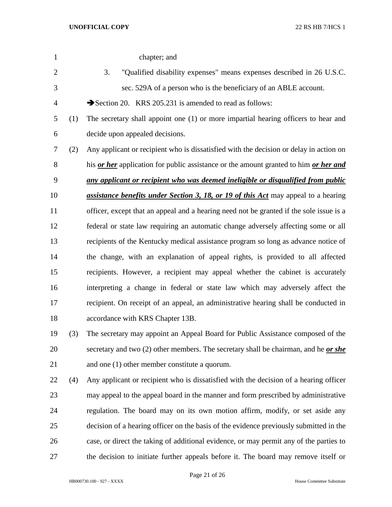| $\mathbf{1}$   |     | chapter; and                                                                              |
|----------------|-----|-------------------------------------------------------------------------------------------|
| $\overline{2}$ |     | "Qualified disability expenses" means expenses described in 26 U.S.C.<br>3.               |
| 3              |     | sec. 529A of a person who is the beneficiary of an ABLE account.                          |
| 4              |     | Section 20. KRS 205.231 is amended to read as follows:                                    |
| 5              | (1) | The secretary shall appoint one (1) or more impartial hearing officers to hear and        |
| 6              |     | decide upon appealed decisions.                                                           |
| 7              | (2) | Any applicant or recipient who is dissatisfied with the decision or delay in action on    |
| 8              |     | his or her application for public assistance or the amount granted to him or her and      |
| 9              |     | any applicant or recipient who was deemed ineligible or disqualified from public          |
| 10             |     | <i>assistance benefits under Section 3, 18, or 19 of this Act</i> may appeal to a hearing |
| 11             |     | officer, except that an appeal and a hearing need not be granted if the sole issue is a   |
| 12             |     | federal or state law requiring an automatic change adversely affecting some or all        |
| 13             |     | recipients of the Kentucky medical assistance program so long as advance notice of        |
| 14             |     | the change, with an explanation of appeal rights, is provided to all affected             |
| 15             |     | recipients. However, a recipient may appeal whether the cabinet is accurately             |
| 16             |     | interpreting a change in federal or state law which may adversely affect the              |
| 17             |     | recipient. On receipt of an appeal, an administrative hearing shall be conducted in       |
| 18             |     | accordance with KRS Chapter 13B.                                                          |
| 19             | (3) | The secretary may appoint an Appeal Board for Public Assistance composed of the           |
| 20             |     | secretary and two (2) other members. The secretary shall be chairman, and he or she       |
| 21             |     | and one (1) other member constitute a quorum.                                             |
| 22             | (4) | Any applicant or recipient who is dissatisfied with the decision of a hearing officer     |
| 23             |     | may appeal to the appeal board in the manner and form prescribed by administrative        |
| 24             |     | regulation. The board may on its own motion affirm, modify, or set aside any              |
| 25             |     | decision of a hearing officer on the basis of the evidence previously submitted in the    |
| 26             |     | case, or direct the taking of additional evidence, or may permit any of the parties to    |
| 27             |     | the decision to initiate further appeals before it. The board may remove itself or        |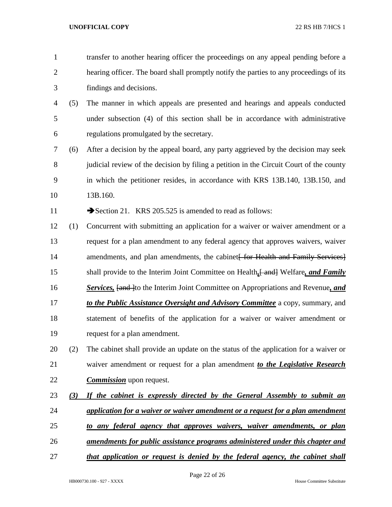- transfer to another hearing officer the proceedings on any appeal pending before a hearing officer. The board shall promptly notify the parties to any proceedings of its findings and decisions.
- (5) The manner in which appeals are presented and hearings and appeals conducted under subsection (4) of this section shall be in accordance with administrative regulations promulgated by the secretary.
- (6) After a decision by the appeal board, any party aggrieved by the decision may seek 8 judicial review of the decision by filing a petition in the Circuit Court of the county in which the petitioner resides, in accordance with KRS 13B.140, 13B.150, and 13B.160.

11 Section 21. KRS 205.525 is amended to read as follows:

- (1) Concurrent with submitting an application for a waiver or waiver amendment or a request for a plan amendment to any federal agency that approves waivers, waiver 14 amendments, and plan amendments, the cabinet for Health and Family Services shall provide to the Interim Joint Committee on Health*,*[ and] Welfare*, and Family*  16 **Services, <del>[and ]</del>to the Interim Joint Committee on Appropriations and Revenue, and**  *to the Public Assistance Oversight and Advisory Committee* a copy, summary, and statement of benefits of the application for a waiver or waiver amendment or request for a plan amendment.
- (2) The cabinet shall provide an update on the status of the application for a waiver or waiver amendment or request for a plan amendment *to the Legislative Research Commission* upon request.
- *(3) If the cabinet is expressly directed by the General Assembly to submit an application for a waiver or waiver amendment or a request for a plan amendment*
- *to any federal agency that approves waivers, waiver amendments, or plan*
- *amendments for public assistance programs administered under this chapter and*
- *that application or request is denied by the federal agency, the cabinet shall*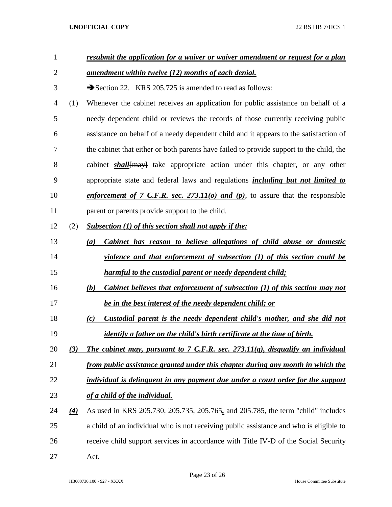| 1              |          | resubmit the application for a waiver or waiver amendment or request for a plan                 |
|----------------|----------|-------------------------------------------------------------------------------------------------|
| $\overline{2}$ |          | <u>amendment within twelve (12) months of each denial.</u>                                      |
| 3              |          | Section 22. KRS 205.725 is amended to read as follows:                                          |
| 4              | (1)      | Whenever the cabinet receives an application for public assistance on behalf of a               |
| 5              |          | needy dependent child or reviews the records of those currently receiving public                |
| 6              |          | assistance on behalf of a needy dependent child and it appears to the satisfaction of           |
| 7              |          | the cabinet that either or both parents have failed to provide support to the child, the        |
| 8              |          | cabinet <i>shall</i> { <del>may}</del> take appropriate action under this chapter, or any other |
| 9              |          | appropriate state and federal laws and regulations <i>including but not limited to</i>          |
| 10             |          | enforcement of 7 C.F.R. sec. 273.11( $o$ ) and ( $p$ ), to assure that the responsible          |
| 11             |          | parent or parents provide support to the child.                                                 |
| 12             | (2)      | <b>Subsection (1) of this section shall not apply if the:</b>                                   |
| 13             |          | Cabinet has reason to believe allegations of child abuse or domestic<br>(a)                     |
| 14             |          | violence and that enforcement of subsection (1) of this section could be                        |
| 15             |          | harmful to the custodial parent or needy dependent child;                                       |
| 16             |          | Cabinet believes that enforcement of subsection (1) of this section may not<br>(b)              |
| 17             |          | be in the best interest of the needy dependent child; or                                        |
| 18             |          | Custodial parent is the needy dependent child's mother, and she did not<br>(c)                  |
| 19             |          | <i>identify a father on the child's birth certificate at the time of birth.</i>                 |
| 20             | (3)      | The cabinet may, pursuant to 7 C.F.R. sec. 273.11(q), disqualify an individual                  |
| 21             |          | from public assistance granted under this chapter during any month in which the                 |
| 22             |          | individual is delinguent in any payment due under a court order for the support                 |
| 23             |          | of a child of the individual.                                                                   |
| 24             | $\Delta$ | As used in KRS 205.730, 205.735, 205.765, and 205.785, the term "child" includes                |
| 25             |          | a child of an individual who is not receiving public assistance and who is eligible to          |
| 26             |          | receive child support services in accordance with Title IV-D of the Social Security             |
| 27             |          | Act.                                                                                            |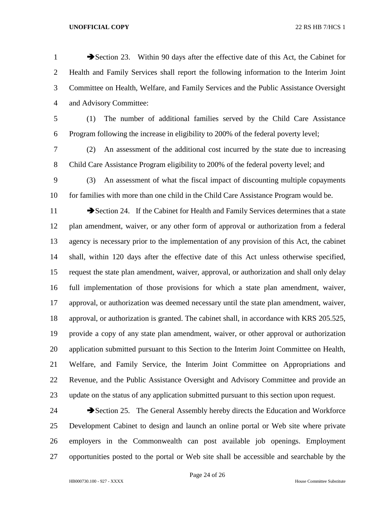1 Section 23. Within 90 days after the effective date of this Act, the Cabinet for Health and Family Services shall report the following information to the Interim Joint Committee on Health, Welfare, and Family Services and the Public Assistance Oversight and Advisory Committee:

- (1) The number of additional families served by the Child Care Assistance Program following the increase in eligibility to 200% of the federal poverty level;
- (2) An assessment of the additional cost incurred by the state due to increasing Child Care Assistance Program eligibility to 200% of the federal poverty level; and
- (3) An assessment of what the fiscal impact of discounting multiple copayments for families with more than one child in the Child Care Assistance Program would be.
- 11 Section 24. If the Cabinet for Health and Family Services determines that a state plan amendment, waiver, or any other form of approval or authorization from a federal agency is necessary prior to the implementation of any provision of this Act, the cabinet shall, within 120 days after the effective date of this Act unless otherwise specified, request the state plan amendment, waiver, approval, or authorization and shall only delay full implementation of those provisions for which a state plan amendment, waiver, approval, or authorization was deemed necessary until the state plan amendment, waiver, approval, or authorization is granted. The cabinet shall, in accordance with KRS 205.525, provide a copy of any state plan amendment, waiver, or other approval or authorization application submitted pursuant to this Section to the Interim Joint Committee on Health, Welfare, and Family Service, the Interim Joint Committee on Appropriations and Revenue, and the Public Assistance Oversight and Advisory Committee and provide an update on the status of any application submitted pursuant to this section upon request.
- 24 Section 25. The General Assembly hereby directs the Education and Workforce Development Cabinet to design and launch an online portal or Web site where private employers in the Commonwealth can post available job openings. Employment opportunities posted to the portal or Web site shall be accessible and searchable by the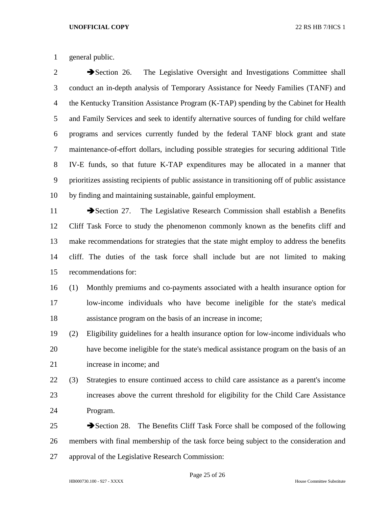general public.

2 Section 26. The Legislative Oversight and Investigations Committee shall conduct an in-depth analysis of Temporary Assistance for Needy Families (TANF) and the Kentucky Transition Assistance Program (K-TAP) spending by the Cabinet for Health and Family Services and seek to identify alternative sources of funding for child welfare programs and services currently funded by the federal TANF block grant and state maintenance-of-effort dollars, including possible strategies for securing additional Title IV-E funds, so that future K-TAP expenditures may be allocated in a manner that prioritizes assisting recipients of public assistance in transitioning off of public assistance by finding and maintaining sustainable, gainful employment.

11 Section 27. The Legislative Research Commission shall establish a Benefits Cliff Task Force to study the phenomenon commonly known as the benefits cliff and make recommendations for strategies that the state might employ to address the benefits cliff. The duties of the task force shall include but are not limited to making recommendations for:

- (1) Monthly premiums and co-payments associated with a health insurance option for low-income individuals who have become ineligible for the state's medical assistance program on the basis of an increase in income;
- (2) Eligibility guidelines for a health insurance option for low-income individuals who have become ineligible for the state's medical assistance program on the basis of an increase in income; and
- (3) Strategies to ensure continued access to child care assistance as a parent's income increases above the current threshold for eligibility for the Child Care Assistance Program.
- 25 Section 28. The Benefits Cliff Task Force shall be composed of the following members with final membership of the task force being subject to the consideration and approval of the Legislative Research Commission: